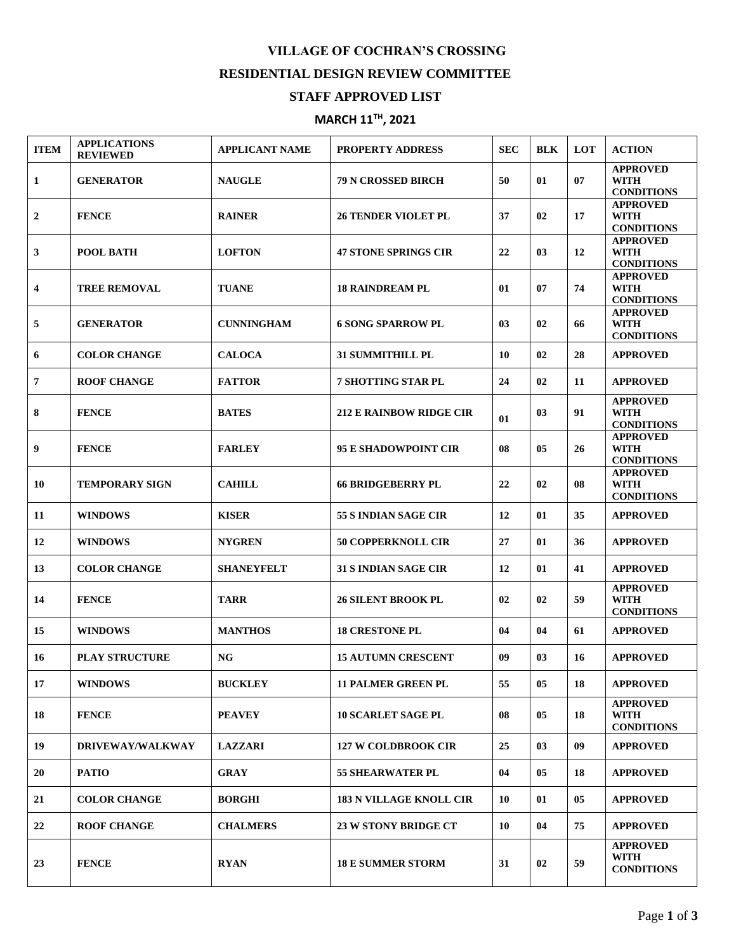## **VILLAGE OF COCHRAN'S CROSSING RESIDENTIAL DESIGN REVIEW COMMITTEE**

## **STAFF APPROVED LIST**

## **MARCH 11 TH , 2021**

| <b>ITEM</b>             | <b>APPLICATIONS</b><br><b>REVIEWED</b> | <b>APPLICANT NAME</b> | <b>PROPERTY ADDRESS</b>        | <b>SEC</b> | <b>BLK</b> | LOT | <b>ACTION</b>                                       |
|-------------------------|----------------------------------------|-----------------------|--------------------------------|------------|------------|-----|-----------------------------------------------------|
| 1                       | <b>GENERATOR</b>                       | <b>NAUGLE</b>         | <b>79 N CROSSED BIRCH</b>      | 50         | 01         | 07  | <b>APPROVED</b><br><b>WITH</b><br><b>CONDITIONS</b> |
| $\mathbf{2}$            | <b>FENCE</b>                           | <b>RAINER</b>         | <b>26 TENDER VIOLET PL</b>     | 37         | 02         | 17  | <b>APPROVED</b><br><b>WITH</b><br><b>CONDITIONS</b> |
| 3                       | POOL BATH                              | <b>LOFTON</b>         | <b>47 STONE SPRINGS CIR</b>    | 22         | 03         | 12  | <b>APPROVED</b><br><b>WITH</b><br><b>CONDITIONS</b> |
| $\overline{\mathbf{4}}$ | <b>TREE REMOVAL</b>                    | <b>TUANE</b>          | <b>18 RAINDREAM PL</b>         | 01         | 07         | 74  | <b>APPROVED</b><br><b>WITH</b><br><b>CONDITIONS</b> |
| 5                       | <b>GENERATOR</b>                       | <b>CUNNINGHAM</b>     | <b>6 SONG SPARROW PL</b>       | 03         | 02         | 66  | <b>APPROVED</b><br><b>WITH</b><br><b>CONDITIONS</b> |
| 6                       | <b>COLOR CHANGE</b>                    | <b>CALOCA</b>         | 31 SUMMITHILL PL               | 10         | 02         | 28  | <b>APPROVED</b>                                     |
| 7                       | <b>ROOF CHANGE</b>                     | <b>FATTOR</b>         | <b>7 SHOTTING STAR PL</b>      | 24         | 02         | 11  | <b>APPROVED</b>                                     |
| 8                       | <b>FENCE</b>                           | <b>BATES</b>          | <b>212 E RAINBOW RIDGE CIR</b> | 01         | 03         | 91  | <b>APPROVED</b><br><b>WITH</b><br><b>CONDITIONS</b> |
| 9                       | <b>FENCE</b>                           | <b>FARLEY</b>         | <b>95 E SHADOWPOINT CIR</b>    | 08         | 05         | 26  | <b>APPROVED</b><br><b>WITH</b><br><b>CONDITIONS</b> |
| 10                      | <b>TEMPORARY SIGN</b>                  | <b>CAHILL</b>         | <b>66 BRIDGEBERRY PL</b>       | 22         | 02         | 08  | <b>APPROVED</b><br><b>WITH</b><br><b>CONDITIONS</b> |
| 11                      | <b>WINDOWS</b>                         | <b>KISER</b>          | 55 S INDIAN SAGE CIR           | 12         | 01         | 35  | <b>APPROVED</b>                                     |
| 12                      | <b>WINDOWS</b>                         | <b>NYGREN</b>         | <b>50 COPPERKNOLL CIR</b>      | 27         | 01         | 36  | <b>APPROVED</b>                                     |
| 13                      | <b>COLOR CHANGE</b>                    | <b>SHANEYFELT</b>     | <b>31 S INDIAN SAGE CIR</b>    | 12         | 01         | 41  | <b>APPROVED</b>                                     |
| 14                      | <b>FENCE</b>                           | <b>TARR</b>           | <b>26 SILENT BROOK PL</b>      | 02         | 02         | 59  | <b>APPROVED</b><br><b>WITH</b><br><b>CONDITIONS</b> |
| 15                      | <b>WINDOWS</b>                         | <b>MANTHOS</b>        | <b>18 CRESTONE PL</b>          | 04         | 04         | 61  | <b>APPROVED</b>                                     |
| 16                      | <b>PLAY STRUCTURE</b>                  | <b>NG</b>             | <b>15 AUTUMN CRESCENT</b>      | 09         | 03         | 16  | <b>APPROVED</b>                                     |
| 17                      | <b>WINDOWS</b>                         | <b>BUCKLEY</b>        | <b>11 PALMER GREEN PL</b>      | 55         | 05         | 18  | <b>APPROVED</b>                                     |
| 18                      | <b>FENCE</b>                           | <b>PEAVEY</b>         | <b>10 SCARLET SAGE PL</b>      | 08         | 05         | 18  | <b>APPROVED</b><br><b>WITH</b><br><b>CONDITIONS</b> |
| 19                      | <b>DRIVEWAY/WALKWAY</b>                | <b>LAZZARI</b>        | <b>127 W COLDBROOK CIR</b>     | 25         | 03         | 09  | <b>APPROVED</b>                                     |
| 20                      | <b>PATIO</b>                           | <b>GRAY</b>           | <b>55 SHEARWATER PL</b>        | 04         | 05         | 18  | <b>APPROVED</b>                                     |
| 21                      | <b>COLOR CHANGE</b>                    | <b>BORGHI</b>         | <b>183 N VILLAGE KNOLL CIR</b> | 10         | 01         | 05  | <b>APPROVED</b>                                     |
| 22                      | <b>ROOF CHANGE</b>                     | <b>CHALMERS</b>       | 23 W STONY BRIDGE CT           | 10         | 04         | 75  | <b>APPROVED</b>                                     |
| 23                      | <b>FENCE</b>                           | <b>RYAN</b>           | 18 E SUMMER STORM              | 31         | 02         | 59  | <b>APPROVED</b><br><b>WITH</b><br><b>CONDITIONS</b> |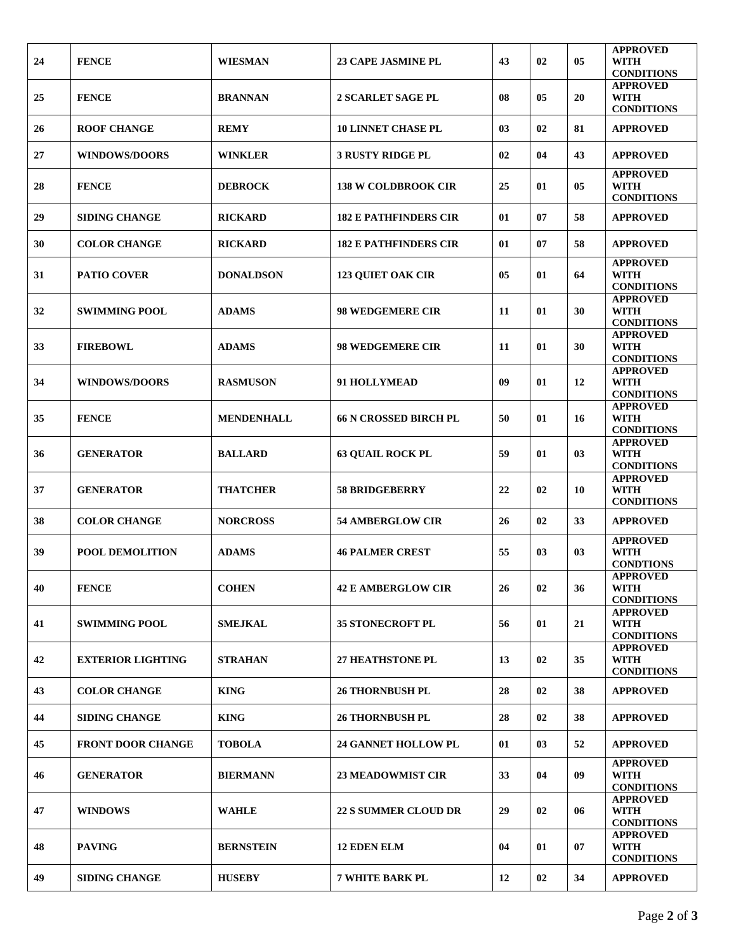| 24 | <b>FENCE</b>             | <b>WIESMAN</b>    | <b>23 CAPE JASMINE PL</b>    | 43 | 02 | 05 | <b>APPROVED</b><br><b>WITH</b><br><b>CONDITIONS</b> |
|----|--------------------------|-------------------|------------------------------|----|----|----|-----------------------------------------------------|
| 25 | <b>FENCE</b>             | <b>BRANNAN</b>    | <b>2 SCARLET SAGE PL</b>     | 08 | 05 | 20 | <b>APPROVED</b><br><b>WITH</b><br><b>CONDITIONS</b> |
| 26 | <b>ROOF CHANGE</b>       | <b>REMY</b>       | <b>10 LINNET CHASE PL</b>    | 03 | 02 | 81 | <b>APPROVED</b>                                     |
| 27 | <b>WINDOWS/DOORS</b>     | <b>WINKLER</b>    | <b>3 RUSTY RIDGE PL</b>      | 02 | 04 | 43 | <b>APPROVED</b>                                     |
| 28 | <b>FENCE</b>             | <b>DEBROCK</b>    | <b>138 W COLDBROOK CIR</b>   | 25 | 01 | 05 | <b>APPROVED</b><br><b>WITH</b><br><b>CONDITIONS</b> |
| 29 | <b>SIDING CHANGE</b>     | <b>RICKARD</b>    | <b>182 E PATHFINDERS CIR</b> | 01 | 07 | 58 | <b>APPROVED</b>                                     |
| 30 | <b>COLOR CHANGE</b>      | <b>RICKARD</b>    | <b>182 E PATHFINDERS CIR</b> | 01 | 07 | 58 | <b>APPROVED</b>                                     |
| 31 | <b>PATIO COVER</b>       | <b>DONALDSON</b>  | <b>123 QUIET OAK CIR</b>     | 05 | 01 | 64 | <b>APPROVED</b><br><b>WITH</b><br><b>CONDITIONS</b> |
| 32 | <b>SWIMMING POOL</b>     | <b>ADAMS</b>      | <b>98 WEDGEMERE CIR</b>      | 11 | 01 | 30 | <b>APPROVED</b><br><b>WITH</b><br><b>CONDITIONS</b> |
| 33 | <b>FIREBOWL</b>          | <b>ADAMS</b>      | <b>98 WEDGEMERE CIR</b>      | 11 | 01 | 30 | <b>APPROVED</b><br>WITH<br><b>CONDITIONS</b>        |
| 34 | <b>WINDOWS/DOORS</b>     | <b>RASMUSON</b>   | 91 HOLLYMEAD                 | 09 | 01 | 12 | <b>APPROVED</b><br><b>WITH</b><br><b>CONDITIONS</b> |
| 35 | <b>FENCE</b>             | <b>MENDENHALL</b> | <b>66 N CROSSED BIRCH PL</b> | 50 | 01 | 16 | <b>APPROVED</b><br>WITH<br><b>CONDITIONS</b>        |
| 36 | <b>GENERATOR</b>         | <b>BALLARD</b>    | <b>63 QUAIL ROCK PL</b>      | 59 | 01 | 03 | <b>APPROVED</b><br><b>WITH</b><br><b>CONDITIONS</b> |
| 37 | <b>GENERATOR</b>         | <b>THATCHER</b>   | <b>58 BRIDGEBERRY</b>        | 22 | 02 | 10 | <b>APPROVED</b><br><b>WITH</b><br><b>CONDITIONS</b> |
| 38 | <b>COLOR CHANGE</b>      | <b>NORCROSS</b>   | <b>54 AMBERGLOW CIR</b>      | 26 | 02 | 33 | <b>APPROVED</b>                                     |
| 39 | <b>POOL DEMOLITION</b>   | <b>ADAMS</b>      | <b>46 PALMER CREST</b>       | 55 | 03 | 03 | <b>APPROVED</b><br><b>WITH</b><br><b>CONDTIONS</b>  |
| 40 | <b>FENCE</b>             | <b>COHEN</b>      | <b>42 E AMBERGLOW CIR</b>    | 26 | 02 | 36 | <b>APPROVED</b><br><b>WITH</b><br><b>CONDITIONS</b> |
| 41 | <b>SWIMMING POOL</b>     | <b>SMEJKAL</b>    | <b>35 STONECROFT PL</b>      | 56 | 01 | 21 | <b>APPROVED</b><br>WITH<br><b>CONDITIONS</b>        |
| 42 | <b>EXTERIOR LIGHTING</b> | <b>STRAHAN</b>    | <b>27 HEATHSTONE PL</b>      | 13 | 02 | 35 | <b>APPROVED</b><br><b>WITH</b><br><b>CONDITIONS</b> |
| 43 | <b>COLOR CHANGE</b>      | <b>KING</b>       | <b>26 THORNBUSH PL</b>       | 28 | 02 | 38 | <b>APPROVED</b>                                     |
| 44 | <b>SIDING CHANGE</b>     | <b>KING</b>       | <b>26 THORNBUSH PL</b>       | 28 | 02 | 38 | <b>APPROVED</b>                                     |
| 45 | <b>FRONT DOOR CHANGE</b> | <b>TOBOLA</b>     | <b>24 GANNET HOLLOW PL</b>   | 01 | 03 | 52 | <b>APPROVED</b>                                     |
| 46 | <b>GENERATOR</b>         | <b>BIERMANN</b>   | <b>23 MEADOWMIST CIR</b>     | 33 | 04 | 09 | <b>APPROVED</b><br><b>WITH</b><br><b>CONDITIONS</b> |
| 47 | <b>WINDOWS</b>           | <b>WAHLE</b>      | <b>22 S SUMMER CLOUD DR</b>  | 29 | 02 | 06 | <b>APPROVED</b><br>WITH<br><b>CONDITIONS</b>        |
| 48 | <b>PAVING</b>            | <b>BERNSTEIN</b>  | <b>12 EDEN ELM</b>           | 04 | 01 | 07 | <b>APPROVED</b><br><b>WITH</b><br><b>CONDITIONS</b> |
| 49 | <b>SIDING CHANGE</b>     | <b>HUSEBY</b>     | 7 WHITE BARK PL              | 12 | 02 | 34 | <b>APPROVED</b>                                     |